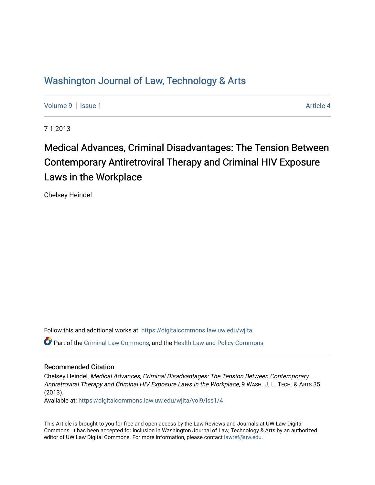# Washington Journal of Law, Technology & Arts

[Volume 9](https://digitalcommons.law.uw.edu/wjlta/vol9) | [Issue 1](https://digitalcommons.law.uw.edu/wjlta/vol9/iss1) Article 4

7-1-2013

# Medical Advances, Criminal Disadvantages: The Tension Between Contemporary Antiretroviral Therapy and Criminal HIV Exposure Laws in the Workplace

Chelsey Heindel

Follow this and additional works at: [https://digitalcommons.law.uw.edu/wjlta](https://digitalcommons.law.uw.edu/wjlta?utm_source=digitalcommons.law.uw.edu%2Fwjlta%2Fvol9%2Fiss1%2F4&utm_medium=PDF&utm_campaign=PDFCoverPages)  Part of the [Criminal Law Commons,](http://network.bepress.com/hgg/discipline/912?utm_source=digitalcommons.law.uw.edu%2Fwjlta%2Fvol9%2Fiss1%2F4&utm_medium=PDF&utm_campaign=PDFCoverPages) and the [Health Law and Policy Commons](http://network.bepress.com/hgg/discipline/901?utm_source=digitalcommons.law.uw.edu%2Fwjlta%2Fvol9%2Fiss1%2F4&utm_medium=PDF&utm_campaign=PDFCoverPages)

# Recommended Citation

Chelsey Heindel, Medical Advances, Criminal Disadvantages: The Tension Between Contemporary Antiretroviral Therapy and Criminal HIV Exposure Laws in the Workplace, 9 WASH. J. L. TECH. & ARTS 35 (2013).

Available at: [https://digitalcommons.law.uw.edu/wjlta/vol9/iss1/4](https://digitalcommons.law.uw.edu/wjlta/vol9/iss1/4?utm_source=digitalcommons.law.uw.edu%2Fwjlta%2Fvol9%2Fiss1%2F4&utm_medium=PDF&utm_campaign=PDFCoverPages)

This Article is brought to you for free and open access by the Law Reviews and Journals at UW Law Digital Commons. It has been accepted for inclusion in Washington Journal of Law, Technology & Arts by an authorized editor of UW Law Digital Commons. For more information, please contact [lawref@uw.edu](mailto:lawref@uw.edu).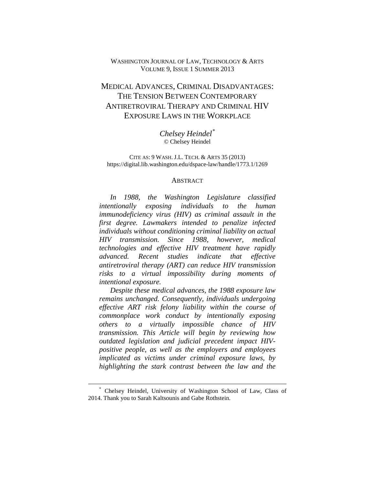# WASHINGTON JOURNAL OF LAW, TECHNOLOGY & ARTS VOLUME 9, ISSUE 1 SUMMER 2013

# MEDICAL ADVANCES, CRIMINAL DISADVANTAGES: THE TENSION BETWEEN CONTEMPORARY ANTIRETROVIRAL THERAPY AND CRIMINAL HIV EXPOSURE LAWS IN THE WORKPLACE

*Chelsey Heindel[\\*](#page-1-0)* © Chelsey Heindel

CITE AS: 9 WASH. J.L. TECH. & ARTS 35 (2013) https://digital.lib.washington.edu/dspace-law/handle/1773.1/1269

#### ABSTRACT

*In 1988, the Washington Legislature classified intentionally exposing individuals to the human immunodeficiency virus (HIV) as criminal assault in the first degree. Lawmakers intended to penalize infected individuals without conditioning criminal liability on actual HIV transmission. Since 1988, however, medical technologies and effective HIV treatment have rapidly advanced. Recent studies indicate that effective antiretroviral therapy (ART) can reduce HIV transmission risks to a virtual impossibility during moments of intentional exposure.*

*Despite these medical advances, the 1988 exposure law remains unchanged. Consequently, individuals undergoing effective ART risk felony liability within the course of commonplace work conduct by intentionally exposing others to a virtually impossible chance of HIV transmission. This Article will begin by reviewing how outdated legislation and judicial precedent impact HIVpositive people, as well as the employers and employees implicated as victims under criminal exposure laws, by highlighting the stark contrast between the law and the*

<span id="page-1-0"></span><sup>\*</sup> Chelsey Heindel, University of Washington School of Law, Class of 2014. Thank you to Sarah Kaltsounis and Gabe Rothstein.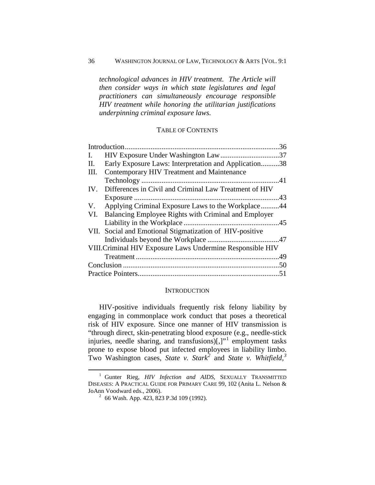#### 36 WASHINGTON JOURNAL OF LAW, TECHNOLOGY & ARTS [VOL. 9:1

*technological advances in HIV treatment. The Article will then consider ways in which state legislatures and legal practitioners can simultaneously encourage responsible HIV treatment while honoring the utilitarian justifications underpinning criminal exposure laws.*

# TABLE OF CONTENTS

|                                                            |                                                          | 36 |
|------------------------------------------------------------|----------------------------------------------------------|----|
| $\mathbf{I}$ .                                             |                                                          |    |
| Н.                                                         | Early Exposure Laws: Interpretation and Application38    |    |
| Ш.                                                         | Contemporary HIV Treatment and Maintenance               |    |
|                                                            |                                                          |    |
| IV.                                                        | Differences in Civil and Criminal Law Treatment of HIV   |    |
|                                                            |                                                          | 43 |
| V.                                                         | Applying Criminal Exposure Laws to the Workplace44       |    |
|                                                            | VI. Balancing Employee Rights with Criminal and Employer |    |
|                                                            |                                                          |    |
|                                                            | VII. Social and Emotional Stigmatization of HIV-positive |    |
|                                                            |                                                          |    |
| VIII. Criminal HIV Exposure Laws Undermine Responsible HIV |                                                          |    |
|                                                            |                                                          |    |
|                                                            |                                                          |    |
|                                                            |                                                          |    |

#### **INTRODUCTION**

<span id="page-2-3"></span><span id="page-2-0"></span>HIV-positive individuals frequently risk felony liability by engaging in commonplace work conduct that poses a theoretical risk of HIV exposure. Since one manner of HIV transmission is "through direct, skin-penetrating blood exposure (e.g., needle-stick injuries, needle sharing, and transfusions)[,]"[1](#page-2-1) employment tasks prone to expose blood put infected employees in liability limbo. Two Washington cases, *State v. Stark[2](#page-2-2)* and *State v. Whitfield, [3](#page-2-3)*

<span id="page-2-2"></span><span id="page-2-1"></span><sup>&</sup>lt;sup>1</sup> Gunter Rieg, *HIV Infection and AIDS*, SEXUALLY TRANSMITTED DISEASES: A PRACTICAL GUIDE FOR PRIMARY CARE 99, 102 (Anita L. Nelson &

 $\frac{2}{100}$  66 Wash. App. 423, 823 P.3d 109 (1992).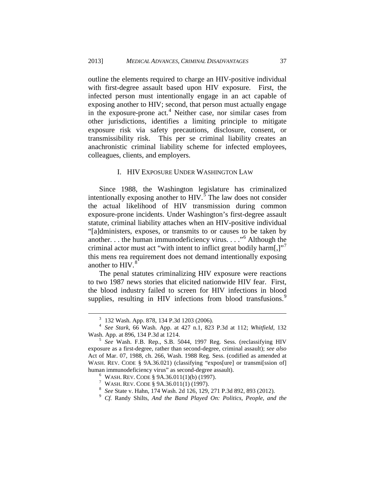outline the elements required to charge an HIV-positive individual with first-degree assault based upon HIV exposure. First, the infected person must intentionally engage in an act capable of exposing another to HIV; second, that person must actually engage in the exposure-prone  $act<sup>4</sup>$  $act<sup>4</sup>$  $act<sup>4</sup>$  Neither case, nor similar cases from other jurisdictions, identifies a limiting principle to mitigate exposure risk via safety precautions, disclosure, consent, or transmissibility risk. This per se criminal liability creates an anachronistic criminal liability scheme for infected employees, colleagues, clients, and employers.

### I. HIV EXPOSURE UNDER WASHINGTON LAW

<span id="page-3-0"></span>Since 1988, the Washington legislature has criminalized intentionally exposing another to  $HIV$ .<sup>[5](#page-3-2)</sup> The law does not consider the actual likelihood of HIV transmission during common exposure-prone incidents. Under Washington's first-degree assault statute, criminal liability attaches when an HIV-positive individual "[a]dministers, exposes, or transmits to or causes to be taken by another. . . the human immunodeficiency virus. . . ."[6](#page-3-3) Although the criminal actor must act "with intent to inflict great bodily harm $[$ , $]$ " this mens rea requirement does not demand intentionally exposing another to HIV.<sup>[8](#page-3-5)</sup>

The penal statutes criminalizing HIV exposure were reactions to two 1987 news stories that elicited nationwide HIV fear. First, the blood industry failed to screen for HIV infections in blood supplies, resulting in HIV infections from blood transfusions.<sup>[9](#page-3-6)</sup>

<span id="page-3-1"></span><sup>3</sup> <sup>132</sup> Wash. App. 878, 134 P.3d 1203 (2006). <sup>4</sup> *See Stark*, <sup>66</sup> Wash. App. at <sup>427</sup> n.1, <sup>823</sup> P.3d at 112; *Whitfield*, <sup>132</sup> Wash. App. at 896, <sup>134</sup> P.3d at 1214. <sup>5</sup> *See* Wash. F.B. Rep., S.B. 5044, 1997 Reg. Sess. (reclassifying HIV

<span id="page-3-4"></span><span id="page-3-3"></span><span id="page-3-2"></span>exposure as a first-degree, rather than second-degree, criminal assault); *see also* Act of Mar. 07, 1988, ch. 266, Wash. 1988 Reg. Sess. (codified as amended at WASH. REV. CODE § 9A.36.021) (classifying "expos[ure] or transmi[ssion of] human immunodeficiency virus" as second-degree assault).<br>  $\binom{6}{194}$  WASH. REV. CODE § 9A.36.011(1)(b) (1997).<br>  $\binom{7}{194}$  WASH. REV. CODE § 9A.36.011(1) (1997).<br>  $\binom{8}{194}$  See State v. Hahn, 174 Wash. 2d 126, 129,

<span id="page-3-6"></span><span id="page-3-5"></span>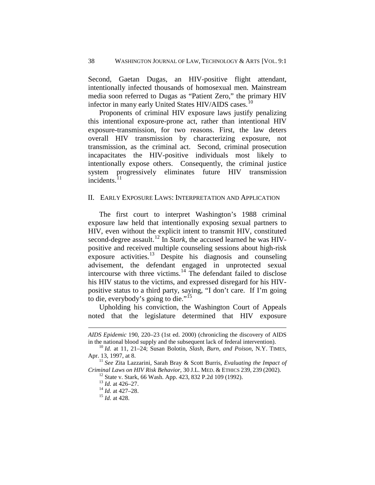Second, Gaetan Dugas, an HIV-positive flight attendant, intentionally infected thousands of homosexual men. Mainstream media soon referred to Dugas as "Patient Zero," the primary HIV infector in many early United States HIV/AIDS cases.<sup>[10](#page-4-1)</sup>

Proponents of criminal HIV exposure laws justify penalizing this intentional exposure-prone act, rather than intentional HIV exposure-transmission, for two reasons. First, the law deters overall HIV transmission by characterizing exposure, not transmission, as the criminal act. Second, criminal prosecution incapacitates the HIV-positive individuals most likely to intentionally expose others. Consequently, the criminal justice system progressively eliminates future HIV transmission incidents. $^{11}$  $^{11}$  $^{11}$ 

#### <span id="page-4-0"></span>II. EARLY EXPOSURE LAWS: INTERPRETATION AND APPLICATION

The first court to interpret Washington's 1988 criminal exposure law held that intentionally exposing sexual partners to HIV, even without the explicit intent to transmit HIV, constituted second-degree assault.<sup>[12](#page-4-3)</sup> In *Stark*, the accused learned he was HIVpositive and received multiple counseling sessions about high-risk exposure activities.<sup>[13](#page-4-4)</sup> Despite his diagnosis and counseling advisement, the defendant engaged in unprotected sexual intercourse with three victims. [14](#page-4-5) The defendant failed to disclose his HIV status to the victims, and expressed disregard for his HIVpositive status to a third party, saying, "I don't care. If I'm going to die, everybody's going to die."<sup>[15](#page-4-6)</sup>

Upholding his conviction, the Washington Court of Appeals noted that the legislature determined that HIV exposure

*AIDS Epidemic* 190, 220–23 (1st ed. 2000) (chronicling the discovery of AIDS

<span id="page-4-1"></span>in the national blood supply and the subsequent lack of federal intervention). <sup>10</sup> *Id.* at 11, 21–24; Susan Bolotin, *Slash, Burn, and Poison*, N.Y. TIMES,

<span id="page-4-6"></span><span id="page-4-5"></span><span id="page-4-4"></span><span id="page-4-3"></span><span id="page-4-2"></span><sup>&</sup>lt;sup>11</sup> See Zita Lazzarini, Sarah Bray & Scott Burris, *Evaluating the Impact of* Criminal Laws on HIV Risk Behavior, 30 J.L. MED. & ETHICS 239, 239 (2002).<br><sup>12</sup> State v. Stark, 66 Wash. App. 423, 832 P.2d 109 (1992).<br><sup>13</sup> Id. at 426–27.<br><sup>14</sup> Id. at 427–28.<br><sup>15</sup> Id. at 428.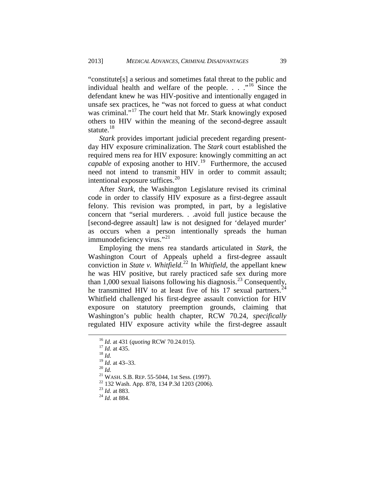"constitute[s] a serious and sometimes fatal threat to the public and individual health and welfare of the people.  $\ldots$  ."<sup>[16](#page-5-0)</sup> Since the defendant knew he was HIV-positive and intentionally engaged in unsafe sex practices, he "was not forced to guess at what conduct was criminal."<sup>[17](#page-5-1)</sup> The court held that Mr. Stark knowingly exposed others to HIV within the meaning of the second-degree assault statute. $18$ 

*Stark* provides important judicial precedent regarding presentday HIV exposure criminalization. The *Stark* court established the required mens rea for HIV exposure: knowingly committing an act *capable* of exposing another to HIV.<sup>[19](#page-5-3)</sup> Furthermore, the accused need not intend to transmit HIV in order to commit assault; intentional exposure suffices.<sup>[20](#page-5-4)</sup>

After *Stark*, the Washington Legislature revised its criminal code in order to classify HIV exposure as a first-degree assault felony. This revision was prompted, in part, by a legislative concern that "serial murderers. . .avoid full justice because the [second-degree assault] law is not designed for 'delayed murder' as occurs when a person intentionally spreads the human immunodeficiency virus."<sup>[21](#page-5-5)</sup>

Employing the mens rea standards articulated in *Stark*, the Washington Court of Appeals upheld a first-degree assault conviction in *State v. Whitfield*. [22](#page-5-6) In *Whitfield*, the appellant knew he was HIV positive, but rarely practiced safe sex during more than 1,000 sexual liaisons following his diagnosis.<sup>[23](#page-5-7)</sup> Consequently, he transmitted HIV to at least five of his 17 sexual partners.<sup>[24](#page-5-8)</sup> Whitfield challenged his first-degree assault conviction for HIV exposure on statutory preemption grounds, claiming that Washington's public health chapter, RCW 70.24, *specifically* regulated HIV exposure activity while the first-degree assault

<span id="page-5-1"></span><span id="page-5-0"></span><sup>16</sup> *Id.* at <sup>431</sup> (*quoting* RCW 70.24.015). 17 *Id.* at 435. <sup>18</sup> *Id.*

<span id="page-5-2"></span>

<span id="page-5-5"></span><span id="page-5-4"></span><span id="page-5-3"></span><sup>&</sup>lt;sup>21</sup> *WASH. S.B. REP. 55-5044, 1st Sess. (1997).*<br><sup>22</sup> 132 Wash. App. 878, 134 P.3d 1203 (2006).<br><sup>23</sup> *Id.* at 883. <sup>24</sup> *Id.* at 884.

<span id="page-5-8"></span><span id="page-5-7"></span><span id="page-5-6"></span>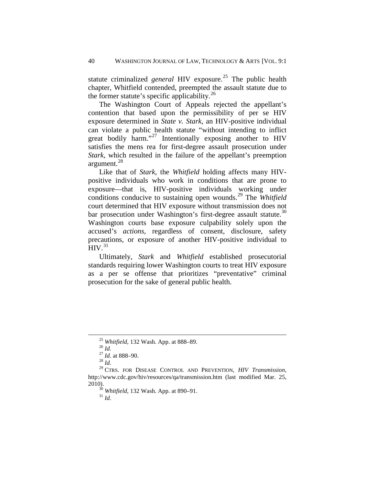statute criminalized *general* HIV exposure.<sup>[25](#page-6-0)</sup> The public health chapter, Whitfield contended, preempted the assault statute due to the former statute's specific applicability. $^{26}$  $^{26}$  $^{26}$ 

The Washington Court of Appeals rejected the appellant's contention that based upon the permissibility of per se HIV exposure determined in *State v. Stark,* an HIV-positive individual can violate a public health statute "without intending to inflict great bodily harm."<sup>[27](#page-6-2)</sup> Intentionally exposing another to HIV satisfies the mens rea for first-degree assault prosecution under *Stark*, which resulted in the failure of the appellant's preemption argument.<sup>[28](#page-6-3)</sup>

Like that of *Stark*, the *Whitfield* holding affects many HIVpositive individuals who work in conditions that are prone to exposure—that is, HIV-positive individuals working under conditions conducive to sustaining open wounds.[29](#page-6-4) The *Whitfield* court determined that HIV exposure without transmission does not bar prosecution under Washington's first-degree assault statute.<sup>[30](#page-6-5)</sup> Washington courts base exposure culpability solely upon the accused's *actions*, regardless of consent, disclosure, safety precautions, or exposure of another HIV-positive individual to  $HIV.<sup>31</sup>$  $HIV.<sup>31</sup>$  $HIV.<sup>31</sup>$ 

Ultimately, *Stark* and *Whitfield* established prosecutorial standards requiring lower Washington courts to treat HIV exposure as a per se offense that prioritizes "preventative" criminal prosecution for the sake of general public health.

<span id="page-6-4"></span><span id="page-6-3"></span><span id="page-6-2"></span><span id="page-6-1"></span><span id="page-6-0"></span><sup>&</sup>lt;sup>25</sup> *Whitfield*, 132 Wash. App. at 888–89.<br>
<sup>26</sup> *Id.*<br>
<sup>27</sup> *Id.* at 888–90.<br>
<sup>28</sup> *Id.*<br>
<sup>29</sup> CTRS. FOR DISEASE CONTROL AND PREVENTION, *HIV Transmission*, http://www.cdc.gov/hiv/resources/qa/transmission.htm (last modified Mar. 25,

<span id="page-6-6"></span><span id="page-6-5"></span><sup>&</sup>lt;sup>30</sup> *Whitfield*, 132 Wash. App. at 890–91.<br><sup>31</sup> *Id.*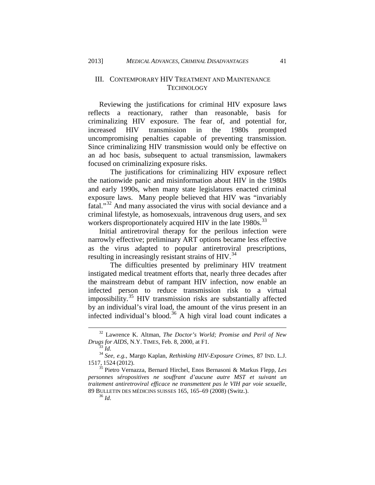# <span id="page-7-0"></span>III. CONTEMPORARY HIV TREATMENT AND MAINTENANCE **TECHNOLOGY**

Reviewing the justifications for criminal HIV exposure laws reflects a reactionary, rather than reasonable, basis for criminalizing HIV exposure. The fear of, and potential for, increased HIV transmission in the 1980s prompted uncompromising penalties capable of preventing transmission. Since criminalizing HIV transmission would only be effective on an ad hoc basis, subsequent to actual transmission, lawmakers focused on criminalizing exposure risks.

The justifications for criminalizing HIV exposure reflect the nationwide panic and misinformation about HIV in the 1980s and early 1990s, when many state legislatures enacted criminal exposure laws. Many people believed that HIV was "invariably fatal."[32](#page-7-1) And many associated the virus with social deviance and a criminal lifestyle, as homosexuals, intravenous drug users, and sex workers disproportionately acquired HIV in the late 1980s.<sup>[33](#page-7-2)</sup>

Initial antiretroviral therapy for the perilous infection were narrowly effective; preliminary ART options became less effective as the virus adapted to popular antiretroviral prescriptions, resulting in increasingly resistant strains of  $HIV.<sup>34</sup>$  $HIV.<sup>34</sup>$  $HIV.<sup>34</sup>$ 

The difficulties presented by preliminary HIV treatment instigated medical treatment efforts that, nearly three decades after the mainstream debut of rampant HIV infection, now enable an infected person to reduce transmission risk to a virtual impossibility.<sup>[35](#page-7-4)</sup> HIV transmission risks are substantially affected by an individual's viral load, the amount of the virus present in an infected individual's blood.<sup>[36](#page-7-5)</sup> A high viral load count indicates a

<span id="page-7-1"></span><sup>32</sup> Lawrence K. Altman, *The Doctor's World; Promise and Peril of New*

<span id="page-7-2"></span>*Drugs for AIDS*, N.Y. TIMES, Feb. 8, 2000, at F1. <sup>33</sup> *Id.*<sup>34</sup> *See, e.g.*, Margo Kaplan, *Rethinking HIV-Exposure Crimes*, <sup>87</sup> IND. L.J. 1517, <sup>1524</sup> (2012). <sup>35</sup> Pietro Vernazza, Bernard Hirchel, Enos Bernasoni & Markus Flepp, *Les*

<span id="page-7-5"></span><span id="page-7-4"></span><span id="page-7-3"></span>*personnes séropositives ne souffrant d'aucune autre MST et suivant un traitement antiretroviral efficace ne transmettent pas le VIH par voie sexuelle*, <sup>89</sup> BULLETIN DES MÉDICINS SUISSES 165, 165–69 (2008) (Switz.). 36 *Id.*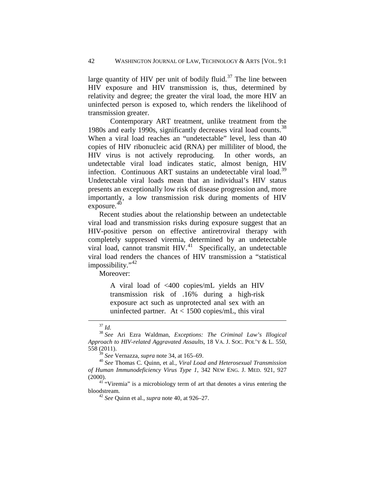large quantity of HIV per unit of bodily fluid.<sup>[37](#page-8-0)</sup> The line between HIV exposure and HIV transmission is, thus, determined by relativity and degree; the greater the viral load, the more HIV an uninfected person is exposed to, which renders the likelihood of transmission greater.

Contemporary ART treatment, unlike treatment from the 1980s and early 1990s, significantly decreases viral load counts.<sup>[38](#page-8-1)</sup> When a viral load reaches an "undetectable" level, less than 40 copies of HIV ribonucleic acid (RNA) per milliliter of blood, the HIV virus is not actively reproducing. In other words, an undetectable viral load indicates static, almost benign, HIV infection. Continuous ART sustains an undetectable viral load.<sup>[39](#page-8-2)</sup> Undetectable viral loads mean that an individual's HIV status presents an exceptionally low risk of disease progression and, more importantly, a low transmission risk during moments of HIV exposure.<sup>40</sup>

Recent studies about the relationship between an undetectable viral load and transmission risks during exposure suggest that an HIV-positive person on effective antiretroviral therapy with completely suppressed viremia, determined by an undetectable viral load, cannot transmit  $HIV.<sup>41</sup>$  Specifically, an undetectable viral load renders the chances of HIV transmission a "statistical impossibility."<sup>42</sup>

Moreover:

A viral load of <400 copies/mL yields an HIV transmission risk of .16% during a high-risk exposure act such as unprotected anal sex with an uninfected partner. At < 1500 copies/mL, this viral

<span id="page-8-1"></span><span id="page-8-0"></span><sup>37</sup> *Id.* <sup>38</sup> *See* Ari Ezra Waldman, *Exceptions: The Criminal Law's Illogical Approach to HIV-related Aggravated Assaults*, 18 VA. J. SOC. POL'Y & L. 550,

<sup>558 (2011).&</sup>lt;br> $^{39}$  *See* Vernazza, *supra* note 34, at 165–69.

<span id="page-8-3"></span><span id="page-8-2"></span><sup>39</sup> *See* Vernazza, *supra* note 34, at 165–69. <sup>40</sup> *See* Thomas C. Quinn, et al., *Viral Load and Heterosexual Transmission of Human Immunodeficiency Virus Type 1*, 342 NEW ENG. J. MED. 921, 927

<span id="page-8-5"></span><span id="page-8-4"></span> $(2000)$ .<br><sup>41</sup> "Viremia" is a microbiology term of art that denotes a virus entering the bloodstream. 42 *See* Quinn et al., *supra* note 40, at 926–27.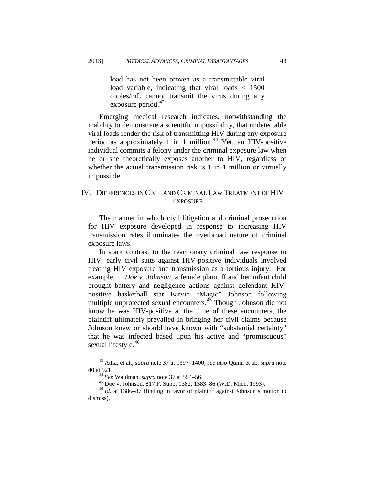load has not been proven as a transmittable viral load variable, indicating that viral loads < 1500 copies/mL cannot transmit the virus during any exposure period. $43$ 

Emerging medical research indicates, notwithstanding the inability to demonstrate a scientific impossibility, that undetectable viral loads render the risk of transmitting HIV during any exposure period as approximately 1 in 1 million.<sup>[44](#page-9-2)</sup> Yet, an HIV-positive individual commits a felony under the criminal exposure law when he or she theoretically exposes another to HIV, regardless of whether the actual transmission risk is 1 in 1 million or virtually impossible.

# <span id="page-9-0"></span>IV. DIFFERENCES IN CIVIL AND CRIMINAL LAW TREATMENT OF HIV EXPOSURE

The manner in which civil litigation and criminal prosecution for HIV exposure developed in response to increasing HIV transmission rates illuminates the overbroad nature of criminal exposure laws.

In stark contrast to the reactionary criminal law response to HIV, early civil suits against HIV-positive individuals involved treating HIV exposure and transmission as a tortious injury. For example, in *Doe v. Johnson*, a female plaintiff and her infant child brought battery and negligence actions against defendant HIVpositive basketball star Earvin "Magic" Johnson following multiple unprotected sexual encounters. $45$  Though Johnson did not know he was HIV-positive at the time of these encounters, the plaintiff ultimately prevailed in bringing her civil claims because Johnson knew or should have known with "substantial certainty" that he was infected based upon his active and "promiscuous" sexual lifestyle.<sup>[46](#page-9-4)</sup>

<span id="page-9-1"></span><sup>43</sup> Attia, et al., *supra* note 37 at 1397–1400; *see also* Quinn et al., *supra* note 40 at 921.<br><sup>44</sup> See Waldman, *supra* note 37 at 554–56.

<span id="page-9-4"></span><span id="page-9-3"></span><span id="page-9-2"></span><sup>45</sup> Doe v. Johnson, 817 F. Supp. 1382, 1383–86 (W.D. Mich. 1993).<br><sup>46</sup> *Id.* at 1386–87 (finding in favor of plaintiff against Johnson's motion to dismiss).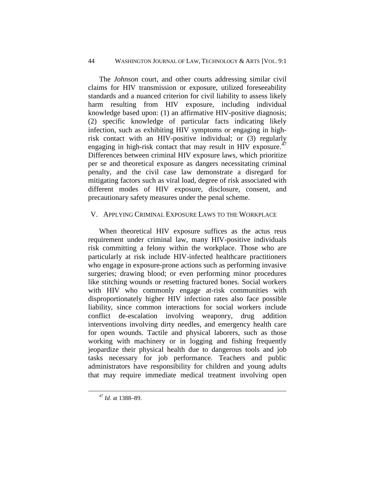# 44 WASHINGTON JOURNAL OF LAW, TECHNOLOGY & ARTS [VOL. 9:1

The *Johnson* court, and other courts addressing similar civil claims for HIV transmission or exposure, utilized foreseeability standards and a nuanced criterion for civil liability to assess likely harm resulting from HIV exposure, including individual knowledge based upon: (1) an affirmative HIV-positive diagnosis; (2) specific knowledge of particular facts indicating likely infection, such as exhibiting HIV symptoms or engaging in highrisk contact with an HIV-positive individual; or (3) regularly engaging in high-risk contact that may result in HIV exposure. $47$ Differences between criminal HIV exposure laws, which prioritize per se and theoretical exposure as dangers necessitating criminal penalty, and the civil case law demonstrate a disregard for mitigating factors such as viral load, degree of risk associated with different modes of HIV exposure, disclosure, consent, and precautionary safety measures under the penal scheme.

# <span id="page-10-0"></span>V. APPLYING CRIMINAL EXPOSURE LAWS TO THE WORKPLACE

When theoretical HIV exposure suffices as the actus reus requirement under criminal law, many HIV-positive individuals risk committing a felony within the workplace. Those who are particularly at risk include HIV-infected healthcare practitioners who engage in exposure-prone actions such as performing invasive surgeries; drawing blood; or even performing minor procedures like stitching wounds or resetting fractured bones. Social workers with HIV who commonly engage at-risk communities with disproportionately higher HIV infection rates also face possible liability, since common interactions for social workers include conflict de-escalation involving weaponry, drug addition interventions involving dirty needles, and emergency health care for open wounds. Tactile and physical laborers, such as those working with machinery or in logging and fishing frequently jeopardize their physical health due to dangerous tools and job tasks necessary for job performance. Teachers and public administrators have responsibility for children and young adults that may require immediate medical treatment involving open

<span id="page-10-1"></span><sup>47</sup> *Id.* at 1388–89.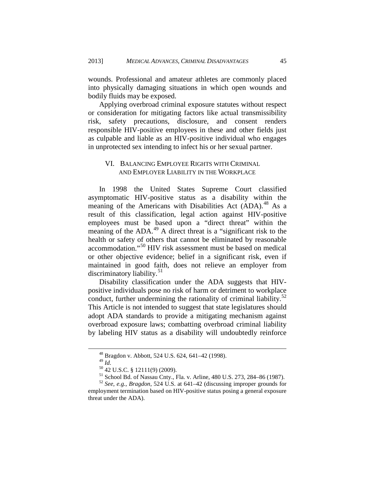wounds. Professional and amateur athletes are commonly placed into physically damaging situations in which open wounds and bodily fluids may be exposed.

Applying overbroad criminal exposure statutes without respect or consideration for mitigating factors like actual transmissibility risk, safety precautions, disclosure, and consent renders responsible HIV-positive employees in these and other fields just as culpable and liable as an HIV-positive individual who engages in unprotected sex intending to infect his or her sexual partner.

# <span id="page-11-0"></span>VI. BALANCING EMPLOYEE RIGHTS WITH CRIMINAL AND EMPLOYER LIABILITY IN THE WORKPLACE

In 1998 the United States Supreme Court classified asymptomatic HIV-positive status as a disability within the meaning of the Americans with Disabilities Act (ADA).<sup>[48](#page-11-1)</sup> As a result of this classification, legal action against HIV-positive employees must be based upon a "direct threat" within the meaning of the ADA.<sup>[49](#page-11-2)</sup> A direct threat is a "significant risk to the health or safety of others that cannot be eliminated by reasonable accommodation."[50](#page-11-3) HIV risk assessment must be based on medical or other objective evidence; belief in a significant risk, even if maintained in good faith, does not relieve an employer from discriminatory liability.<sup>[51](#page-11-4)</sup>

Disability classification under the ADA suggests that HIVpositive individuals pose no risk of harm or detriment to workplace conduct, further undermining the rationality of criminal liability. $52$ This Article is not intended to suggest that state legislatures should adopt ADA standards to provide a mitigating mechanism against overbroad exposure laws; combatting overbroad criminal liability by labeling HIV status as a disability will undoubtedly reinforce

 $^{48}_{49}$  Bragdon v. Abbott, 524 U.S. 624, 641–42 (1998).<br> $^{49}_{49}$   $M$ 

<sup>49</sup> *Id.* <sup>50</sup> 42 U.S.C. § 12111(9) (2009). <sup>51</sup> School Bd. of Nassau Cnty., Fla. v. Arline, <sup>480</sup> U.S. 273, 284–86 (1987). <sup>52</sup> *See, e.g.*, *Bragdon*, 524 U.S. at 641–42 (discussing improper grounds for

<span id="page-11-5"></span><span id="page-11-4"></span><span id="page-11-3"></span><span id="page-11-2"></span><span id="page-11-1"></span>employment termination based on HIV-positive status posing a general exposure threat under the ADA).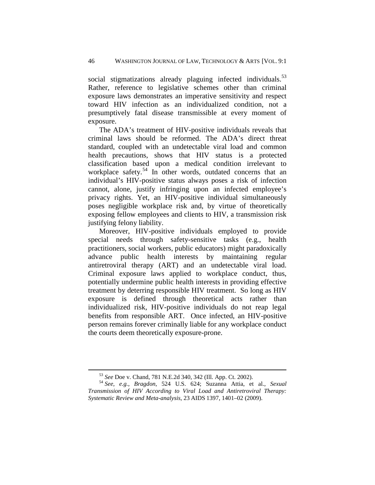social stigmatizations already plaguing infected individuals.<sup>[53](#page-12-0)</sup> Rather, reference to legislative schemes other than criminal exposure laws demonstrates an imperative sensitivity and respect toward HIV infection as an individualized condition, not a presumptively fatal disease transmissible at every moment of exposure.

The ADA's treatment of HIV-positive individuals reveals that criminal laws should be reformed. The ADA's direct threat standard, coupled with an undetectable viral load and common health precautions, shows that HIV status is a protected classification based upon a medical condition irrelevant to workplace safety.<sup>[54](#page-12-1)</sup> In other words, outdated concerns that an individual's HIV-positive status always poses a risk of infection cannot, alone, justify infringing upon an infected employee's privacy rights. Yet, an HIV-positive individual simultaneously poses negligible workplace risk and, by virtue of theoretically exposing fellow employees and clients to HIV, a transmission risk justifying felony liability.

Moreover, HIV-positive individuals employed to provide special needs through safety-sensitive tasks (e.g., health practitioners, social workers, public educators) might paradoxically advance public health interests by maintaining regular antiretroviral therapy (ART) and an undetectable viral load. Criminal exposure laws applied to workplace conduct, thus, potentially undermine public health interests in providing effective treatment by deterring responsible HIV treatment. So long as HIV exposure is defined through theoretical acts rather than individualized risk, HIV-positive individuals do not reap legal benefits from responsible ART. Once infected, an HIV-positive person remains forever criminally liable for any workplace conduct the courts deem theoretically exposure-prone.

<span id="page-12-1"></span><span id="page-12-0"></span><sup>53</sup> *See* Doe v. Chand, <sup>781</sup> N.E.2d 340, 342 (Ill. App. Ct. 2002). <sup>54</sup> *See, e.g.*, *Bragdon*, 524 U.S. 624; Suzanna Attia, et al., *Sexual Transmission of HIV According to Viral Load and Antiretroviral Therapy: Systematic Review and Meta-analysis*, 23 AIDS 1397, 1401–02 (2009).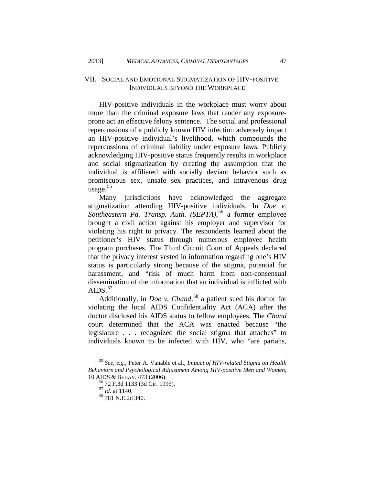# <span id="page-13-0"></span>VII. SOCIAL AND EMOTIONAL STIGMATIZATION OF HIV-POSITIVE INDIVIDUALS BEYOND THE WORKPLACE

HIV-positive individuals in the workplace must worry about more than the criminal exposure laws that render any exposureprone act an effective felony sentence. The social and professional repercussions of a publicly known HIV infection adversely impact an HIV-positive individual's livelihood, which compounds the repercussions of criminal liability under exposure laws. Publicly acknowledging HIV-positive status frequently results in workplace and social stigmatization by creating the assumption that the individual is affiliated with socially deviant behavior such as promiscuous sex, unsafe sex practices, and intravenous drug usage.<sup>[55](#page-13-1)</sup>

Many jurisdictions have acknowledged the aggregate stigmatization attending HIV-positive individuals. In *Doe v. Southeastern Pa. Transp. Auth. (SEPTA)*, [56](#page-13-2) a former employee brought a civil action against his employer and supervisor for violating his right to privacy. The respondents learned about the petitioner's HIV status through numerous employee health program purchases. The Third Circuit Court of Appeals declared that the privacy interest vested in information regarding one's HIV status is particularly strong because of the stigma, potential for harassment, and "risk of much harm from non-consensual dissemination of the information that an individual is inflicted with AIDS. $57$ 

Additionally, in *Doe v. Chand*, [58](#page-13-4) a patient sued his doctor for violating the local AIDS Confidentiality Act (ACA) after the doctor disclosed his AIDS status to fellow employees. The *Chand* court determined that the ACA was enacted because "the legislature . . . recognized the social stigma that attaches" to individuals known to be infected with HIV, who "are pariahs,

<span id="page-13-4"></span><span id="page-13-3"></span><span id="page-13-2"></span><span id="page-13-1"></span><sup>55</sup> *See, e.g.*, Peter A. Vanable et al., *Impact of HIV-related Stigma on Health Behaviors and Psychological Adjustment Among HIV-positive Men and Women*, 10 AIDS & BEHAV. 473 (2006).<br><sup>56</sup> 72 F.3d 1133 (3d Cir. 1995).<br><sup>57</sup> *Id.* at 1140.<br><sup>58</sup> 781 N.E.2d 340.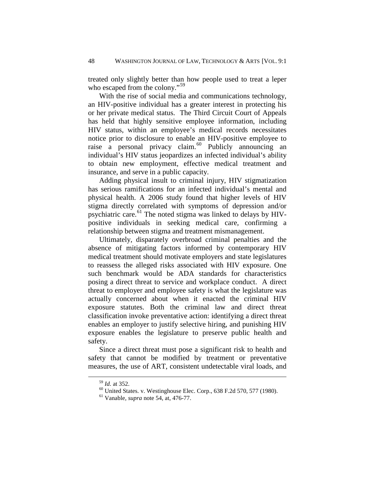treated only slightly better than how people used to treat a leper who escaped from the colony."<sup>[59](#page-14-0)</sup>

With the rise of social media and communications technology, an HIV-positive individual has a greater interest in protecting his or her private medical status. The Third Circuit Court of Appeals has held that highly sensitive employee information, including HIV status, within an employee's medical records necessitates notice prior to disclosure to enable an HIV-positive employee to raise a personal privacy claim.<sup>[60](#page-14-1)</sup> Publicly announcing an individual's HIV status jeopardizes an infected individual's ability to obtain new employment, effective medical treatment and insurance, and serve in a public capacity.

Adding physical insult to criminal injury, HIV stigmatization has serious ramifications for an infected individual's mental and physical health. A 2006 study found that higher levels of HIV stigma directly correlated with symptoms of depression and/or psychiatric care.<sup>[61](#page-14-2)</sup> The noted stigma was linked to delays by HIVpositive individuals in seeking medical care, confirming a relationship between stigma and treatment mismanagement.

Ultimately, disparately overbroad criminal penalties and the absence of mitigating factors informed by contemporary HIV medical treatment should motivate employers and state legislatures to reassess the alleged risks associated with HIV exposure. One such benchmark would be ADA standards for characteristics posing a direct threat to service and workplace conduct. A direct threat to employer and employee safety is what the legislature was actually concerned about when it enacted the criminal HIV exposure statutes. Both the criminal law and direct threat classification invoke preventative action: identifying a direct threat enables an employer to justify selective hiring, and punishing HIV exposure enables the legislature to preserve public health and safety.

<span id="page-14-1"></span><span id="page-14-0"></span>Since a direct threat must pose a significant risk to health and safety that cannot be modified by treatment or preventative measures, the use of ART, consistent undetectable viral loads, and

<span id="page-14-2"></span>

<sup>59</sup> *Id.* at 352. <sup>60</sup> United States. v. Westinghouse Elec. Corp., <sup>638</sup> F.2d 570, 577 (1980). <sup>61</sup> Vanable, *supra* note 54, at, 476-77.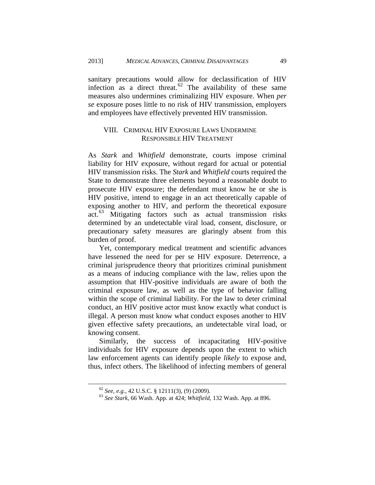sanitary precautions would allow for declassification of HIV infection as a direct threat. $62$  The availability of these same measures also undermines criminalizing HIV exposure. When *per se* exposure poses little to no risk of HIV transmission, employers and employees have effectively prevented HIV transmission.

# <span id="page-15-0"></span>VIII. CRIMINAL HIV EXPOSURE LAWS UNDERMINE RESPONSIBLE HIV TREATMENT

As *Stark* and *Whitfield* demonstrate, courts impose criminal liability for HIV exposure, without regard for actual or potential HIV transmission risks. The *Stark* and *Whitfield* courts required the State to demonstrate three elements beyond a reasonable doubt to prosecute HIV exposure; the defendant must know he or she is HIV positive, intend to engage in an act theoretically capable of exposing another to HIV, and perform the theoretical exposure act.<sup>[63](#page-15-2)</sup> Mitigating factors such as actual transmission risks determined by an undetectable viral load, consent, disclosure, or precautionary safety measures are glaringly absent from this burden of proof.

Yet, contemporary medical treatment and scientific advances have lessened the need for per se HIV exposure. Deterrence, a criminal jurisprudence theory that prioritizes criminal punishment as a means of inducing compliance with the law, relies upon the assumption that HIV-positive individuals are aware of both the criminal exposure law, as well as the type of behavior falling within the scope of criminal liability. For the law to deter criminal conduct, an HIV positive actor must know exactly what conduct is illegal. A person must know what conduct exposes another to HIV given effective safety precautions, an undetectable viral load, or knowing consent.

Similarly, the success of incapacitating HIV-positive individuals for HIV exposure depends upon the extent to which law enforcement agents can identify people *likely* to expose and, thus, infect others. The likelihood of infecting members of general

<span id="page-15-2"></span><span id="page-15-1"></span><sup>62</sup> *See, e.g.*, 42 U.S.C. § 12111(3), (9) (2009). <sup>63</sup> *See Stark*, 66 Wash. App. at 424; *Whitfield*, <sup>132</sup> Wash. App. at 896.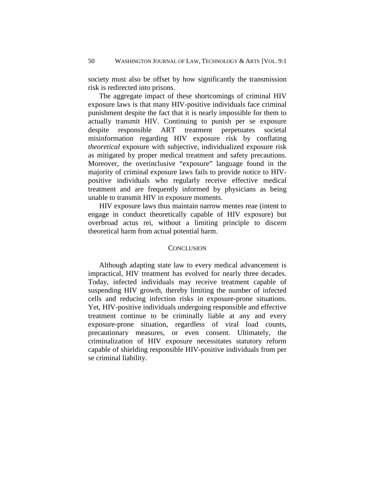society must also be offset by how significantly the transmission risk is redirected into prisons.

The aggregate impact of these shortcomings of criminal HIV exposure laws is that many HIV-positive individuals face criminal punishment despite the fact that it is nearly impossible for them to actually transmit HIV. Continuing to punish per se exposure despite responsible ART treatment perpetuates societal misinformation regarding HIV exposure risk by conflating *theoretical* exposure with subjective, individualized exposure risk as mitigated by proper medical treatment and safety precautions. Moreover, the overinclusive "exposure" language found in the majority of criminal exposure laws fails to provide notice to HIVpositive individuals who regularly receive effective medical treatment and are frequently informed by physicians as being unable to transmit HIV in exposure moments.

HIV exposure laws thus maintain narrow mentes reae (intent to engage in conduct theoretically capable of HIV exposure) but overbroad actus rei, without a limiting principle to discern theoretical harm from actual potential harm.

#### **CONCLUSION**

<span id="page-16-1"></span><span id="page-16-0"></span>Although adapting state law to every medical advancement is impractical, HIV treatment has evolved for nearly three decades. Today, infected individuals may receive treatment capable of suspending HIV growth, thereby limiting the number of infected cells and reducing infection risks in exposure-prone situations. Yet, HIV-positive individuals undergoing responsible and effective treatment continue to be criminally liable at any and every exposure-prone situation, regardless of viral load counts, precautionary measures, or even consent. Ultimately, the criminalization of HIV exposure necessitates statutory reform capable of shielding responsible HIV-positive individuals from per se criminal liability.